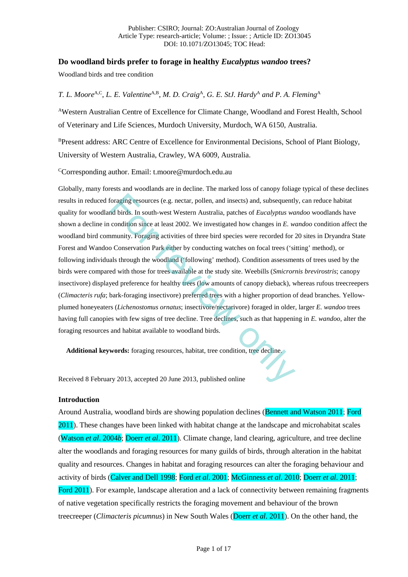# **Do woodland birds prefer to forage in healthy** *Eucalyptus wandoo* **trees?**

Woodland birds and tree condition

## *T. L. Moore*A,C, *L. E. Valentine*A,B, *M. D. Craig*A, *G. E. StJ. Hardy*<sup>A</sup> *and P. A. Fleming*<sup>A</sup>

AWestern Australian Centre of Excellence for Climate Change, Woodland and Forest Health, School of Veterinary and Life Sciences, Murdoch University, Murdoch, WA 6150, Australia.

BPresent address: ARC Centre of Excellence for Environmental Decisions, School of Plant Biology, University of Western Australia, Crawley, WA 6009, Australia.

CCorresponding author. Email: t.moore@murdoch.edu.au

Globally, many forests and woodlands are in decline. The marked loss of canopy foliage typical of these declines results in reduced foraging resources (e.g. nectar, pollen, and insects) and, subsequently, can reduce habitat quality for woodland birds. In south-west Western Australia, patches of *Eucalyptus wandoo* woodlands have shown a decline in condition since at least 2002. We investigated how changes in *E. wandoo* condition affect the woodland bird community. Foraging activities of three bird species were recorded for 20 sites in Dryandra State Forest and Wandoo Conservation Park either by conducting watches on focal trees ('sitting' method), or following individuals through the woodland ('following' method). Condition assessments of trees used by the birds were compared with those for trees available at the study site. Weebills (*Smicrornis brevirostris*; canopy insectivore) displayed preference for healthy trees (low amounts of canopy dieback), whereas rufous treecreepers (*Climacteris rufa*; bark-foraging insectivore) preferred trees with a higher proportion of dead branches. Yellowplumed honeyeaters (*Lichenostomus ornatus*; insectivore/nectarivore) foraged in older, larger *E. wandoo* trees having full canopies with few signs of tree decline. Tree declines, such as that happening in *E. wandoo*, alter the foraging resources and habitat available to woodland birds. foraging resources (e.g. nectar, pollen, and insects) and, subsequent<br>nd birds. In south-west Western Australia, patches of *Eucalyptus wa*<br>condition since at least 2002. We investigated how changes in *E. wa*<br>munity. Fora

**Additional keywords:** foraging resources, habitat, tree condition, tree decline.

Received 8 February 2013, accepted 20 June 2013, published online

### **Introduction**

Around Australia, woodland birds are showing population declines (Bennett and Watson 2011; Ford 2011). These changes have been linked with habitat change at the landscape and microhabitat scales (Watson *et al*. 2004*b*; Doerr *et al*. 2011). Climate change, land clearing, agriculture, and tree decline alter the woodlands and foraging resources for many guilds of birds, through alteration in the habitat quality and resources. Changes in habitat and foraging resources can alter the foraging behaviour and activity of birds (Calver and Dell 1998; Ford *et al*. 2001; McGinness *et al*. 2010; Doerr *et al*. 2011; Ford 2011). For example, landscape alteration and a lack of connectivity between remaining fragments of native vegetation specifically restricts the foraging movement and behaviour of the brown treecreeper (*Climacteris picumnus*) in New South Wales (Doerr *et al*. 2011). On the other hand, the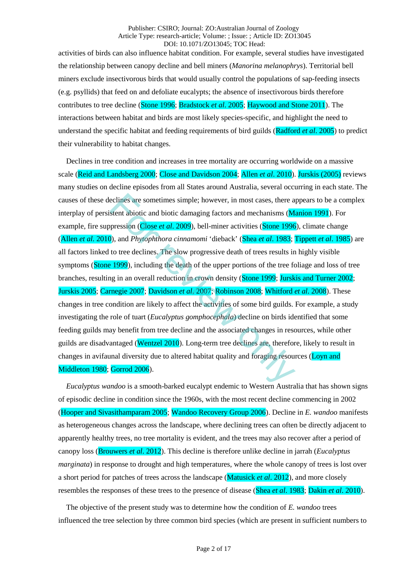activities of birds can also influence habitat condition. For example, several studies have investigated the relationship between canopy decline and bell miners (*Manorina melanophrys*). Territorial bell miners exclude insectivorous birds that would usually control the populations of sap-feeding insects (e.g. psyllids) that feed on and defoliate eucalypts; the absence of insectivorous birds therefore contributes to tree decline (Stone 1996; Bradstock *et al*. 2005; Haywood and Stone 2011). The interactions between habitat and birds are most likely species-specific, and highlight the need to understand the specific habitat and feeding requirements of bird guilds (Radford *et al*. 2005) to predict their vulnerability to habitat changes.

Declines in tree condition and increases in tree mortality are occurring worldwide on a massive scale (Reid and Landsberg 2000; Close and Davidson 2004; Allen *et al*. 2010). Jurskis (2005) reviews many studies on decline episodes from all States around Australia, several occurring in each state. The causes of these declines are sometimes simple; however, in most cases, there appears to be a complex interplay of persistent abiotic and biotic damaging factors and mechanisms (Manion 1991). For example, fire suppression (Close *et al*. 2009), bell-miner activities (Stone 1996), climate change (Allen *et al*. 2010), and *Phytophthora cinnamomi* 'dieback' (Shea *et al*. 1983; Tippett *et al*. 1985) are all factors linked to tree declines. The slow progressive death of trees results in highly visible symptoms (Stone 1999), including the death of the upper portions of the tree foliage and loss of tree branches, resulting in an overall reduction in crown density (Stone 1999; Jurskis and Turner 2002; Jurskis 2005; Carnegie 2007; Davidson *et al*. 2007; Robinson 2008; Whitford *et al*. 2008). These changes in tree condition are likely to affect the activities of some bird guilds. For example, a study investigating the role of tuart (*Eucalyptus gomphocephala*) decline on birds identified that some feeding guilds may benefit from tree decline and the associated changes in resources, while other guilds are disadvantaged (Wentzel 2010). Long-term tree declines are, therefore, likely to result in changes in avifaunal diversity due to altered habitat quality and foraging resources (Loyn and Middleton 1980; Gorrod 2006). eclines are sometimes simple; however, in most cases, there a<br>stent abiotic and biotic damaging factors and mechanisms (M<br>pression (Close *et al.* 2009), bell-miner activities (Stone 1996),<br>and *Phytophthora cinnamomi* 'di

*Eucalyptus wandoo* is a smooth-barked eucalypt endemic to Western Australia that has shown signs of episodic decline in condition since the 1960s, with the most recent decline commencing in 2002 (Hooper and Sivasithamparam 2005; Wandoo Recovery Group 2006). Decline in *E. wandoo* manifests as heterogeneous changes across the landscape, where declining trees can often be directly adjacent to apparently healthy trees, no tree mortality is evident, and the trees may also recover after a period of canopy loss (Brouwers *et al*. 2012). This decline is therefore unlike decline in jarrah (*Eucalyptus marginata*) in response to drought and high temperatures, where the whole canopy of trees is lost over a short period for patches of trees across the landscape (Matusick *et al*. 2012), and more closely resembles the responses of these trees to the presence of disease (Shea *et al*. 1983; Dakin *et al*. 2010).

The objective of the present study was to determine how the condition of *E. wandoo* trees influenced the tree selection by three common bird species (which are present in sufficient numbers to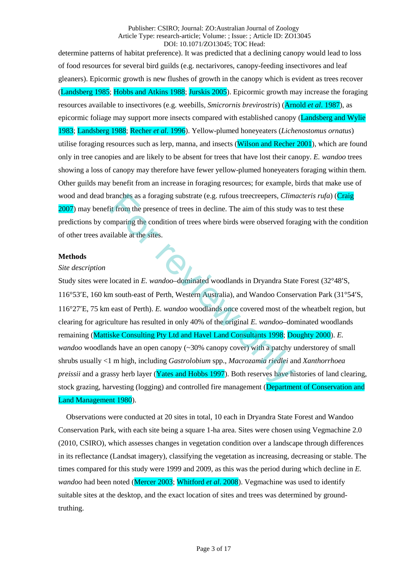determine patterns of habitat preference). It was predicted that a declining canopy would lead to loss of food resources for several bird guilds (e.g. nectarivores, canopy-feeding insectivores and leaf gleaners). Epicormic growth is new flushes of growth in the canopy which is evident as trees recover (Landsberg 1985; Hobbs and Atkins 1988; Jurskis 2005). Epicormic growth may increase the foraging resources available to insectivores (e.g. weebills, *Smicrornis brevirostris*) (Arnold *et al*. 1987), as epicormic foliage may support more insects compared with established canopy (Landsberg and Wylie) 1983; Landsberg 1988; Recher *et al*. 1996). Yellow-plumed honeyeaters (*Lichenostomus ornatus*) utilise foraging resources such as lerp, manna, and insects (Wilson and Recher 2001), which are found only in tree canopies and are likely to be absent for trees that have lost their canopy. *E. wandoo* trees showing a loss of canopy may therefore have fewer yellow-plumed honeyeaters foraging within them. Other guilds may benefit from an increase in foraging resources; for example, birds that make use of wood and dead branches as a foraging substrate (e.g. rufous treecreepers, *Climacteris rufa*) (Craig 2007) may benefit from the presence of trees in decline. The aim of this study was to test these predictions by comparing the condition of trees where birds were observed foraging with the condition of other trees available at the sites.

### **Methods**

### *Site description*

Study sites were located in *E. wandoo*–dominated woodlands in Dryandra State Forest (32°48′S, 116°53′E, 160 km south-east of Perth, Western Australia), and Wandoo Conservation Park (31°54′S, 116°27′E, 75 km east of Perth). *E. wandoo* woodlands once covered most of the wheatbelt region, but clearing for agriculture has resulted in only 40% of the original *E. wandoo*–dominated woodlands remaining (Mattiske Consulting Pty Ltd and Havel Land Consultants 1998; Doughty 2000). *E. wandoo* woodlands have an open canopy (~30% canopy cover) with a patchy understorey of small shrubs usually <1 m high, including *Gastrolobium* spp., *Macrozamia riedlei* and *Xanthorrhoea preissii* and a grassy herb layer (Yates and Hobbs 1997). Both reserves have histories of land clearing, stock grazing, harvesting (logging) and controlled fire management (Department of Conservation and Land Management 1980). ranches as a foraging substrate (e.g. rufous treecreepers, *Clim*<br>it from the presence of trees in decline. The aim of this study<br>mparing the condition of trees where birds were observed for<br>ilable at the sites.<br><br>located

Observations were conducted at 20 sites in total, 10 each in Dryandra State Forest and Wandoo Conservation Park, with each site being a square 1-ha area. Sites were chosen using Vegmachine 2.0 (2010, CSIRO), which assesses changes in vegetation condition over a landscape through differences in its reflectance (Landsat imagery), classifying the vegetation as increasing, decreasing or stable. The times compared for this study were 1999 and 2009, as this was the period during which decline in *E. wandoo* had been noted (Mercer 2003; Whitford *et al*. 2008). Vegmachine was used to identify suitable sites at the desktop, and the exact location of sites and trees was determined by groundtruthing.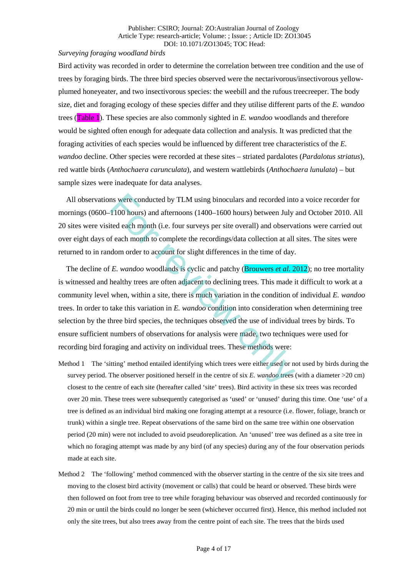#### *Surveying foraging woodland birds*

Bird activity was recorded in order to determine the correlation between tree condition and the use of trees by foraging birds. The three bird species observed were the nectarivorous/insectivorous yellowplumed honeyeater, and two insectivorous species: the weebill and the rufous treecreeper. The body size, diet and foraging ecology of these species differ and they utilise different parts of the *E. wandoo* trees (Table 1). These species are also commonly sighted in *E. wandoo* woodlands and therefore would be sighted often enough for adequate data collection and analysis. It was predicted that the foraging activities of each species would be influenced by different tree characteristics of the *E. wandoo* decline. Other species were recorded at these sites – striated pardalotes (*Pardalotus striatus*), red wattle birds (*Anthochaera carunculata*), and western wattlebirds (*Anthochaera lunulata*) – but sample sizes were inadequate for data analyses.

All observations were conducted by TLM using binoculars and recorded into a voice recorder for mornings (0600–1100 hours) and afternoons (1400–1600 hours) between July and October 2010. All 20 sites were visited each month (i.e. four surveys per site overall) and observations were carried out over eight days of each month to complete the recordings/data collection at all sites. The sites were returned to in random order to account for slight differences in the time of day.

The decline of *E. wandoo* woodlands is cyclic and patchy (Brouwers *et al*. 2012); no tree mortality is witnessed and healthy trees are often adjacent to declining trees. This made it difficult to work at a community level when, within a site, there is much variation in the condition of individual *E. wandoo* trees. In order to take this variation in *E. wandoo* condition into consideration when determining tree selection by the three bird species, the techniques observed the use of individual trees by birds. To ensure sufficient numbers of observations for analysis were made, two techniques were used for recording bird foraging and activity on individual trees. These methods were: In the same conducted by TLM using binoculars and recorded interaction and afternoons (1400–1600 hours) between July the each month (i.e. four surveys per site overall) and observated freech month to complete the recordin

- Method 1 The 'sitting' method entailed identifying which trees were either used or not used by birds during the survey period. The observer positioned herself in the centre of six *E. wandoo* trees (with a diameter >20 cm) closest to the centre of each site (hereafter called 'site' trees). Bird activity in these six trees was recorded over 20 min. These trees were subsequently categorised as 'used' or 'unused' during this time. One 'use' of a tree is defined as an individual bird making one foraging attempt at a resource (i.e. flower, foliage, branch or trunk) within a single tree. Repeat observations of the same bird on the same tree within one observation period (20 min) were not included to avoid pseudoreplication. An 'unused' tree was defined as a site tree in which no foraging attempt was made by any bird (of any species) during any of the four observation periods made at each site.
- Method 2 The 'following' method commenced with the observer starting in the centre of the six site trees and moving to the closest bird activity (movement or calls) that could be heard or observed. These birds were then followed on foot from tree to tree while foraging behaviour was observed and recorded continuously for 20 min or until the birds could no longer be seen (whichever occurred first). Hence, this method included not only the site trees, but also trees away from the centre point of each site. The trees that the birds used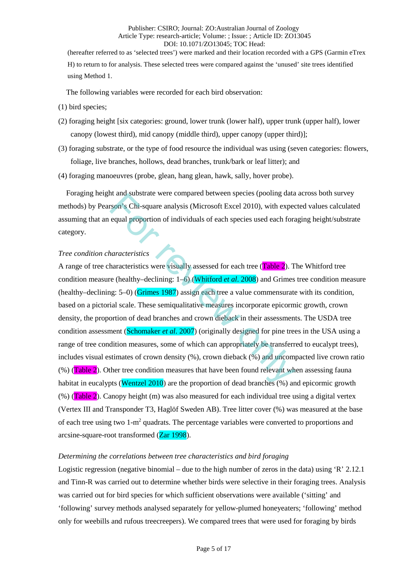(hereafter referred to as 'selected trees') were marked and their location recorded with a GPS (Garmin eTrex H) to return to for analysis. These selected trees were compared against the 'unused' site trees identified using Method 1.

The following variables were recorded for each bird observation:

- (1) bird species;
- (2) foraging height [six categories: ground, lower trunk (lower half), upper trunk (upper half), lower canopy (lowest third), mid canopy (middle third), upper canopy (upper third)];
- (3) foraging substrate, or the type of food resource the individual was using (seven categories: flowers, foliage, live branches, hollows, dead branches, trunk/bark or leaf litter); and
- (4) foraging manoeuvres (probe, glean, hang glean, hawk, sally, hover probe).

Foraging height and substrate were compared between species (pooling data across both survey methods) by Pearson's Chi-square analysis (Microsoft Excel 2010), with expected values calculated assuming that an equal proportion of individuals of each species used each foraging height/substrate category.

## *Tree condition characteristics*

A range of tree characteristics were visually assessed for each tree (Table 2). The Whitford tree condition measure (healthy–declining: 1–6) (Whitford *et al*. 2008) and Grimes tree condition measure (healthy–declining: 5–0) (Grimes 1987) assign each tree a value commensurate with its condition, based on a pictorial scale. These semiqualitative measures incorporate epicormic growth, crown density, the proportion of dead branches and crown dieback in their assessments. The USDA tree condition assessment (Schomaker *et al*. 2007) (originally designed for pine trees in the USA using a range of tree condition measures, some of which can appropriately be transferred to eucalypt trees), includes visual estimates of crown density (%), crown dieback (%) and uncompacted live crown ratio  $(\%)$  (Table 2). Other tree condition measures that have been found relevant when assessing fauna habitat in eucalypts (Wentzel 2010) are the proportion of dead branches (%) and epicormic growth  $(\%)$  (Table 2). Canopy height (m) was also measured for each individual tree using a digital vertex (Vertex III and Transponder T3, Haglöf Sweden AB). Tree litter cover (%) was measured at the base of each tree using two 1-m2 quadrats. The percentage variables were converted to proportions and arcsine-square-root transformed (Zar 1998). It and substrate were compared between species (pooling data<br>
ston's Chi-square analysis (Microsoft Excel 2010), with expected<br>
equal proportion of individuals of each species used each fore<br>
tharacteristics<br>
haracteristic

## *Determining the correlations between tree characteristics and bird foraging*

Logistic regression (negative binomial – due to the high number of zeros in the data) using 'R' 2.12.1 and Tinn-R was carried out to determine whether birds were selective in their foraging trees. Analysis was carried out for bird species for which sufficient observations were available ('sitting' and 'following' survey methods analysed separately for yellow-plumed honeyeaters; 'following' method only for weebills and rufous treecreepers). We compared trees that were used for foraging by birds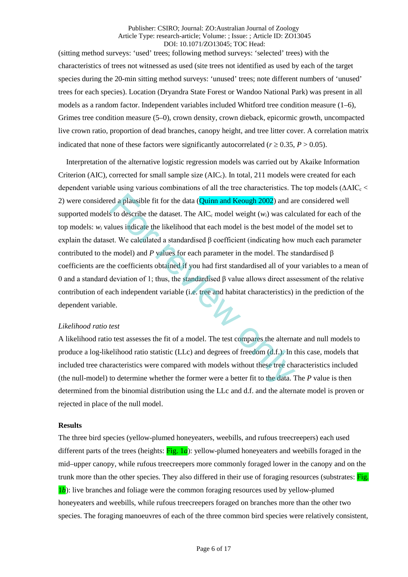(sitting method surveys: 'used' trees; following method surveys: 'selected' trees) with the characteristics of trees not witnessed as used (site trees not identified as used by each of the target species during the 20-min sitting method surveys: 'unused' trees; note different numbers of 'unused' trees for each species). Location (Dryandra State Forest or Wandoo National Park) was present in all models as a random factor. Independent variables included Whitford tree condition measure  $(1-6)$ , Grimes tree condition measure (5–0), crown density, crown dieback, epicormic growth, uncompacted live crown ratio, proportion of dead branches, canopy height, and tree litter cover. A correlation matrix indicated that none of these factors were significantly autocorrelated ( $r \ge 0.35$ ,  $P > 0.05$ ).

Interpretation of the alternative logistic regression models was carried out by Akaike Information Criterion (AIC), corrected for small sample size ( $AIC<sub>c</sub>$ ). In total, 211 models were created for each dependent variable using various combinations of all the tree characteristics. The top models ( $\triangle AIC_c$ 2) were considered a plausible fit for the data (Quinn and Keough 2002) and are considered well supported models to describe the dataset. The  $AIC_c$  model weight  $(w_i)$  was calculated for each of the top models: *wi* values indicate the likelihood that each model is the best model of the model set to explain the dataset. We calculated a standardised β coefficient (indicating how much each parameter contributed to the model) and *P* values for each parameter in the model. The standardised β coefficients are the coefficients obtained if you had first standardised all of your variables to a mean of 0 and a standard deviation of 1; thus, the standardised β value allows direct assessment of the relative contribution of each independent variable (i.e. tree and habitat characteristics) in the prediction of the dependent variable. ed a plausible fit for the data (**Quinn and Keough 2002**) and as to describe the dataset. The AIC<sub>c</sub> model weight  $(w_i)$  was calculues indicate the likelihood that each model is the best model et. We calculated a standardi

### *Likelihood ratio test*

A likelihood ratio test assesses the fit of a model. The test compares the alternate and null models to produce a log-likelihood ratio statistic (LLc) and degrees of freedom (d.f.). In this case, models that included tree characteristics were compared with models without these tree characteristics included (the null-model) to determine whether the former were a better fit to the data. The *P* value is then determined from the binomial distribution using the LLc and d.f. and the alternate model is proven or rejected in place of the null model.

### **Results**

The three bird species (yellow-plumed honeyeaters, weebills, and rufous treecreepers) each used different parts of the trees (heights: Fig. 1*a*): yellow-plumed honeyeaters and weebills foraged in the mid–upper canopy, while rufous treecreepers more commonly foraged lower in the canopy and on the trunk more than the other species. They also differed in their use of foraging resources (substrates: Fig. 1*b*): live branches and foliage were the common foraging resources used by yellow-plumed honeyeaters and weebills, while rufous treecreepers foraged on branches more than the other two species. The foraging manoeuvres of each of the three common bird species were relatively consistent,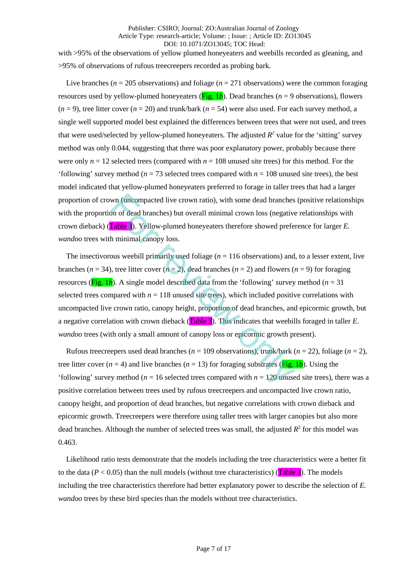with >95% of the observations of yellow plumed honeyeaters and weebills recorded as gleaning, and >95% of observations of rufous treecreepers recorded as probing bark.

Live branches (*n* = 205 observations) and foliage (*n* = 271 observations) were the common foraging resources used by yellow-plumed honeyeaters ( $\overline{Fig. 1b}$ ). Dead branches ( $n = 9$  observations), flowers  $(n = 9)$ , tree litter cover  $(n = 20)$  and trunk/bark  $(n = 54)$  were also used. For each survey method, a single well supported model best explained the differences between trees that were not used, and trees that were used/selected by yellow-plumed honeyeaters. The adjusted  $R^2$  value for the 'sitting' survey method was only 0.044, suggesting that there was poor explanatory power, probably because there were only  $n = 12$  selected trees (compared with  $n = 108$  unused site trees) for this method. For the 'following' survey method ( $n = 73$  selected trees compared with  $n = 108$  unused site trees), the best model indicated that yellow-plumed honeyeaters preferred to forage in taller trees that had a larger proportion of crown (uncompacted live crown ratio), with some dead branches (positive relationships with the proportion of dead branches) but overall minimal crown loss (negative relationships with crown dieback) (Table 3). Yellow-plumed honeyeaters therefore showed preference for larger *E. wandoo* trees with minimal canopy loss.

The insectivorous weebill primarily used foliage  $(n = 116$  observations) and, to a lesser extent, live branches ( $n = 34$ ), tree litter cover ( $n = 2$ ), dead branches ( $n = 2$ ) and flowers ( $n = 9$ ) for foraging resources ( $\overline{Fig. 1b}$ ). A single model described data from the 'following' survey method (*n* = 31) selected trees compared with  $n = 118$  unused site trees), which included positive correlations with uncompacted live crown ratio, canopy height, proportion of dead branches, and epicormic growth, but a negative correlation with crown dieback (Table 3). This indicates that weebills foraged in taller *E. wandoo* trees (with only a small amount of canopy loss or epicormic growth present). wn (uncompacted live crown ratio), with some dead branches<br>on of dead branches) but overall minimal crown loss (negative<br>Table 3). Yellow-plumed honeyeaters therefore showed prefer<br>h minimal canopy loss.<br>ous weebill prima

Rufous treecreepers used dead branches ( $n = 109$  observations), trunk/bark ( $n = 22$ ), foliage ( $n = 2$ ), tree litter cover ( $n = 4$ ) and live branches ( $n = 13$ ) for foraging substrates (Fig. 1*b*). Using the 'following' survey method ( $n = 16$  selected trees compared with  $n = 120$  unused site trees), there was a positive correlation between trees used by rufous treecreepers and uncompacted live crown ratio, canopy height, and proportion of dead branches, but negative correlations with crown dieback and epicormic growth. Treecreepers were therefore using taller trees with larger canopies but also more dead branches. Although the number of selected trees was small, the adjusted  $R^2$  for this model was 0.463.

Likelihood ratio tests demonstrate that the models including the tree characteristics were a better fit to the data ( $P < 0.05$ ) than the null models (without tree characteristics) (**Table 3**). The models including the tree characteristics therefore had better explanatory power to describe the selection of *E. wandoo* trees by these bird species than the models without tree characteristics.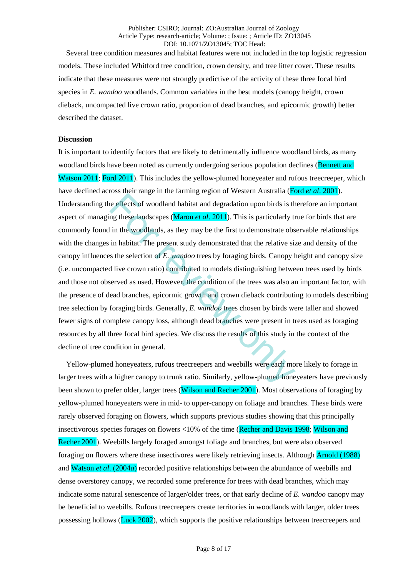Several tree condition measures and habitat features were not included in the top logistic regression models. These included Whitford tree condition, crown density, and tree litter cover. These results indicate that these measures were not strongly predictive of the activity of these three focal bird species in *E. wandoo* woodlands. Common variables in the best models (canopy height, crown dieback, uncompacted live crown ratio, proportion of dead branches, and epicormic growth) better described the dataset.

## **Discussion**

It is important to identify factors that are likely to detrimentally influence woodland birds, as many woodland birds have been noted as currently undergoing serious population declines (Bennett and Watson 2011; Ford 2011). This includes the yellow-plumed honeyeater and rufous treecreeper, which have declined across their range in the farming region of Western Australia (Ford *et al*. 2001). Understanding the effects of woodland habitat and degradation upon birds is therefore an important aspect of managing these landscapes (Maron *et al*. 2011). This is particularly true for birds that are commonly found in the woodlands, as they may be the first to demonstrate observable relationships with the changes in habitat. The present study demonstrated that the relative size and density of the canopy influences the selection of *E. wandoo* trees by foraging birds. Canopy height and canopy size (i.e. uncompacted live crown ratio) contributed to models distinguishing between trees used by birds and those not observed as used. However, the condition of the trees was also an important factor, with the presence of dead branches, epicormic growth and crown dieback contributing to models describing tree selection by foraging birds. Generally, *E. wandoo* trees chosen by birds were taller and showed fewer signs of complete canopy loss, although dead branches were present in trees used as foraging resources by all three focal bird species. We discuss the results of this study in the context of the decline of tree condition in general. For a time and the state and degradation upon birds is the effects of woodlands, as they may be the first to demonstrate observative in the woodlands, as they may be the first to demonstrate observatives in habitat. The pr

Yellow-plumed honeyeaters, rufous treecreepers and weebills were each more likely to forage in larger trees with a higher canopy to trunk ratio. Similarly, yellow-plumed honeyeaters have previously been shown to prefer older, larger trees (Wilson and Recher 2001). Most observations of foraging by yellow-plumed honeyeaters were in mid- to upper-canopy on foliage and branches. These birds were rarely observed foraging on flowers, which supports previous studies showing that this principally insectivorous species forages on flowers <10% of the time (Recher and Davis 1998; Wilson and Recher 2001). Weebills largely foraged amongst foliage and branches, but were also observed foraging on flowers where these insectivores were likely retrieving insects. Although Arnold (1988) and Watson *et al*. (2004*a*) recorded positive relationships between the abundance of weebills and dense overstorey canopy, we recorded some preference for trees with dead branches, which may indicate some natural senescence of larger/older trees, or that early decline of *E. wandoo* canopy may be beneficial to weebills. Rufous treecreepers create territories in woodlands with larger, older trees possessing hollows (Luck 2002), which supports the positive relationships between treecreepers and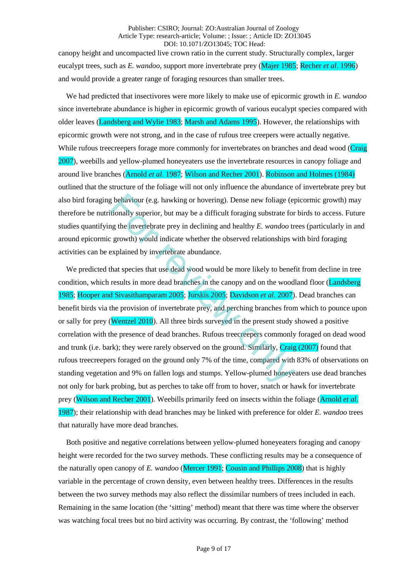canopy height and uncompacted live crown ratio in the current study. Structurally complex, larger eucalypt trees, such as *E. wandoo*, support more invertebrate prey (Majer 1985; Recher *et al*. 1996) and would provide a greater range of foraging resources than smaller trees.

We had predicted that insectivores were more likely to make use of epicormic growth in *E. wandoo* since invertebrate abundance is higher in epicormic growth of various eucalypt species compared with older leaves (Landsberg and Wylie 1983; Marsh and Adams 1995). However, the relationships with epicormic growth were not strong, and in the case of rufous tree creepers were actually negative. While rufous treecreepers forage more commonly for invertebrates on branches and dead wood (Craig 2007), weebills and yellow-plumed honeyeaters use the invertebrate resources in canopy foliage and around live branches (Arnold *et al*. 1987; Wilson and Recher 2001). Robinson and Holmes (1984) outlined that the structure of the foliage will not only influence the abundance of invertebrate prey but also bird foraging behaviour (e.g. hawking or hovering). Dense new foliage (epicormic growth) may therefore be nutritionally superior, but may be a difficult foraging substrate for birds to access. Future studies quantifying the invertebrate prey in declining and healthy *E. wandoo* trees (particularly in and around epicormic growth) would indicate whether the observed relationships with bird foraging activities can be explained by invertebrate abundance.

We predicted that species that use dead wood would be more likely to benefit from decline in tree condition, which results in more dead branches in the canopy and on the woodland floor (Landsberg 1985; Hooper and Sivasithamparam 2005; Jurskis 2005; Davidson *et al*. 2007). Dead branches can benefit birds via the provision of invertebrate prey, and perching branches from which to pounce upon or sally for prey (Wentzel 2010). All three birds surveyed in the present study showed a positive correlation with the presence of dead branches. Rufous treecreepers commonly foraged on dead wood and trunk (i.e. bark); they were rarely observed on the ground. Similarly,  $C_{\text{raig}}(2007)$  found that rufous treecreepers foraged on the ground only 7% of the time, compared with 83% of observations on standing vegetation and 9% on fallen logs and stumps. Yellow-plumed honeyeaters use dead branches not only for bark probing, but as perches to take off from to hover, snatch or hawk for invertebrate prey (Wilson and Recher 2001). Weebills primarily feed on insects within the foliage (Arnold *et al*. 1987); their relationship with dead branches may be linked with preference for older *E. wandoo* trees that naturally have more dead branches. g behaviour (e.g. hawking or hovering). Dense new foliage (e)<br>titionally superior, but may be a difficult foraging substrate for<br>g the invertebrate prey in declining and healthy E. wandoo tr<br>growth) would indicate whether

Both positive and negative correlations between yellow-plumed honeyeaters foraging and canopy height were recorded for the two survey methods. These conflicting results may be a consequence of the naturally open canopy of *E. wandoo* (Mercer 1991; Cousin and Phillips 2008) that is highly variable in the percentage of crown density, even between healthy trees. Differences in the results between the two survey methods may also reflect the dissimilar numbers of trees included in each. Remaining in the same location (the 'sitting' method) meant that there was time where the observer was watching focal trees but no bird activity was occurring. By contrast, the 'following' method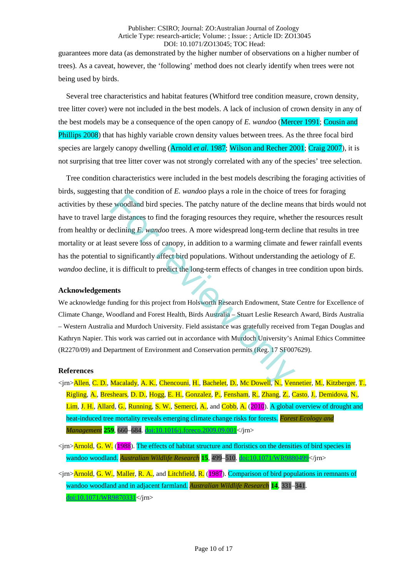guarantees more data (as demonstrated by the higher number of observations on a higher number of trees). As a caveat, however, the 'following' method does not clearly identify when trees were not being used by birds.

Several tree characteristics and habitat features (Whitford tree condition measure, crown density, tree litter cover) were not included in the best models. A lack of inclusion of crown density in any of the best models may be a consequence of the open canopy of *E. wandoo* (Mercer 1991; Cousin and Phillips 2008) that has highly variable crown density values between trees. As the three focal bird species are largely canopy dwelling (Arnold *et al*. 1987; Wilson and Recher 2001; Craig 2007), it is not surprising that tree litter cover was not strongly correlated with any of the species' tree selection.

Tree condition characteristics were included in the best models describing the foraging activities of birds, suggesting that the condition of *E. wandoo* plays a role in the choice of trees for foraging activities by these woodland bird species. The patchy nature of the decline means that birds would not have to travel large distances to find the foraging resources they require, whether the resources result from healthy or declining *E. wandoo* trees. A more widespread long-term decline that results in tree mortality or at least severe loss of canopy, in addition to a warming climate and fewer rainfall events has the potential to significantly affect bird populations. Without understanding the aetiology of *E. wandoo* decline, it is difficult to predict the long-term effects of changes in tree condition upon birds. The woodland bird species. The patchy nature of the decline measure of the decline measure of the decline measure of the decline measure of the decline measure of the declining *E. wandoo* trees. A more widespread long-ter

### **Acknowledgements**

We acknowledge funding for this project from Holsworth Research Endowment, State Centre for Excellence of Climate Change, Woodland and Forest Health, Birds Australia – Stuart Leslie Research Award, Birds Australia – Western Australia and Murdoch University. Field assistance was gratefully received from Tegan Douglas and Kathryn Napier. This work was carried out in accordance with Murdoch University's Animal Ethics Committee (R2270/09) and Department of Environment and Conservation permits (Reg. 17 SF007629).

## **References**

- <jrn>Allen, C. D., Macalady, A. K., Chencouni, H., Bachelet, D., Mc Dowell, N., Vennetier, M., Kitzberger, T., Rigling, A., Breshears, D. D., Hogg, E. H., Gonzalez, P., Fensham, R., Zhang, Z., Casto, J., Demidova, N., Lim, J. H., Allard, G., Running, S. W., Semerci, A., and Cobb, A. (2010). A global overview of drought and heat-induced tree mortality reveals emerging climate change risks for forests. *Forest Ecology and Management* **259**, 660–684. [doi:10.1016/j.foreco.2009.09.001<](http://dx.doi.org/10.1016/j.foreco.2009.09.001)/jrn>
- <jrn>Arnold, G. W. (1988). The effects of habitat structure and floristics on the densities of bird species in wandoo woodland. *Australian Wildlife Research* **15**, 499–510[. doi:10.1071/WR9880499<](http://dx.doi.org/10.1071/WR9880499)/jrn>
- <jrn>Arnold, G. W., Maller, R. A., and Litchfield, R. (1987). Comparison of bird populations in remnants of wandoo woodland and in adjacent farmland. *Australian Wildlife Research* **14**, 331–341. [doi:10.1071/WR9870331<](http://dx.doi.org/10.1071/WR9870331)/jrn>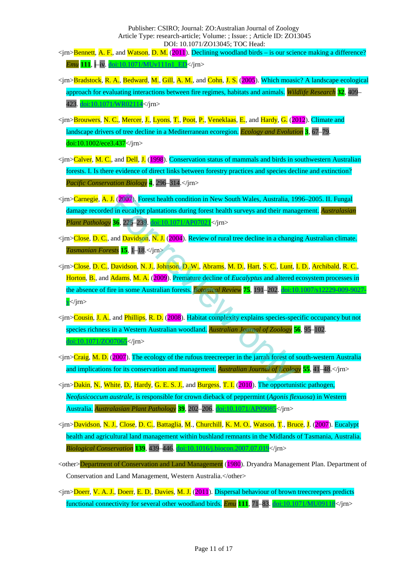<jrn>Bennett, A. F., and Watson, D. M. (2011). Declining woodland birds – is our science making a difference? *Emu* **111**, i–iv. [doi:10.1071/MUv111n1\\_ED<](http://dx.doi.org/10.1071/MUv111n1_ED)/jrn>

- <jrn>Bradstock, R. A., Bedward, M., Gill, A. M., and Cohn, J. S. (2005). Which moasic? A landscape ecological approach for evaluating interactions between fire regimes, habitats and animals. *Wildlife Research* **32**, 409– 423[. doi:10.1071/WR02114<](http://dx.doi.org/10.1071/WR02114)/jrn>
- <jrn>Brouwers, N. C., Mercer, J., Lyons, T., Poot, P., Veneklaas, E., and Hardy, G. (2012). Climate and landscape drivers of tree decline in a Mediterranean ecoregion. *Ecology and Evolution* **3**, 67–79. [doi:10.1002/ece3.437<](http://dx.doi.org/10.1002/ece3.437)/jrn>
- <jrn>Calver, M. C., and Dell, J. (1998). Conservation status of mammals and birds in southwestern Australian forests. I. Is there evidence of direct links between forestry practices and species decline and extinction? *Pacific Conservation Biology* **4**, 296–314.</jrn>
- <jrn>Carnegie, A. J. (2007). Forest health condition in New South Wales, Australia, 1996–2005. II. Fungal damage recorded in eucalypt plantations during forest health surveys and their management. *Australasian Plant Pathology* **36**, 225–239. doi:10.1071/AP07021</jrn>
- <jrn>Close, D. C., and Davidson, N. J. (2004). Review of rural tree decline in a changing Australian climate. *Tasmanian Forests* **15**, 1–18.</jrn>
- <jrn>Close, D. C., Davidson, N. J., Johnson, D. W., Abrams, M. D., Hart, S. C., Lunt, I. D., Archibald, R. C., Horton, B., and Adams, M. A. (2009). Premature decline of *Eucalyptus* and altered ecosystem processes in the absence of fire in some Australian forests. *Botanical Review* **75**, 191–202. [doi:10.1007/s12229-009-9027](http://dx.doi.org/10.1007/s12229-009-9027-y)  $v$   $\langle$  im $\rangle$ **J.** (2007). F[or](http://dx.doi.org/10.1071/AP07021)est health condition in New South Wales, Australia, 19<br>
d in eucalypt plantations during forest health surveys and their mana<br> **36.** 225–239. doi:10.1071/AP07021</mark></jrn><br>
and Davidson, N. J. (2004). Review
- <jrn>Cousin, J. A., and Phillips, R. D. (2008). Habitat complexity explains species-specific occupancy but not species richness in a Western Australian woodland. *Australian Journal of Zoology* **56**, 95–102. [doi:10.1071/ZO07065<](http://dx.doi.org/10.1071/ZO07065)/jrn>
- $\langle \text{trn} \rangle$ Craig, M. D. (2007). The ecology of the rufous treecreeper in the jarrah forest of south-western Australia and implications for its conservation and management. *Australian Journal of Ecology* **55**, 41–48.</jrn>
- <jrn>Dakin, N., White, D., Hardy, G. E. S. J., and Burgess, T. I. (2010). The opportunistic pathogen, *Neofusicoccum australe*, is responsible for crown dieback of peppermint (*Agonis flexuosa*) in Western Australia. *Australasian Plant Pathology* **39**, 202–206[. doi:10.1071/AP09085<](http://dx.doi.org/10.1071/AP09085)/jrn>
- <jrn>Davidson, N. J., Close, D. C., Battaglia, M., Churchill, K. M. O., Watson, T., Bruce, J. (2007). Eucalypt health and agricultural land management within bushland remnants in the Midlands of Tasmania, Australia. *Biological Conservation* **139**, 439–446. [doi:10.1016/j.biocon.2007.07.019<](http://dx.doi.org/10.1016/j.biocon.2007.07.019)/jrn>
- <other>Department of Conservation and Land Management (1980). Dryandra Management Plan. Department of Conservation and Land Management, Western Australia.</other>
- <jrn>Doerr, V. A. J., Doerr, E. D., Davies, M. J. (2011). Dispersal behaviour of brown treecreepers predicts functional connectivity for several other woodland birds. *Emu* **111**, 71–83[. doi:10.1071/MU09118<](http://dx.doi.org/10.1071/MU09118)/jrn>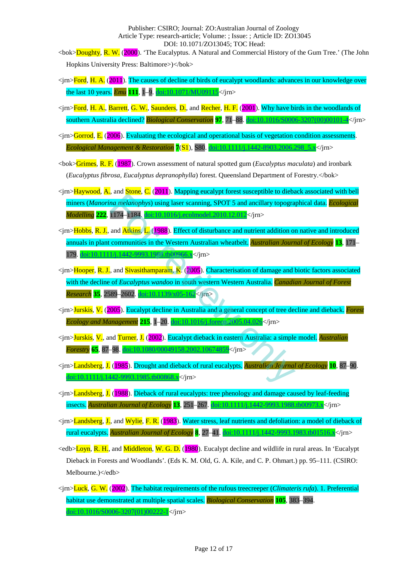- <bok>Doughty, R. W. (2000). 'The Eucalyptus. A Natural and Commercial History of the Gum Tree.' (The John Hopkins University Press: Baltimore>)</bok>
- <jrn>Ford, H. A. (2011). The causes of decline of birds of eucalypt woodlands: advances in our knowledge over the last 10 years. *Emu* **111**, 1–9. [doi:10.1071/MU09115<](http://dx.doi.org/10.1071/MU09115)/jrn>
- <jrn>Ford, H. A., Barrett, G. W., Saunders, D., and Recher, H. F. (2001). Why have birds in the woodlands of southern Australia declined? *Biological Conservation* **97**, 71–88. [doi:10.1016/S0006-3207\(00\)00101-4<](http://dx.doi.org/10.1016/S0006-3207(00)00101-4)/jrn>
- <jrn>Gorrod, E. (2006). Evaluating the ecological and operational basis of vegetation condition assessments. *Ecological Management & Restoration* **7**(S1), S80. [doi:10.1111/j.1442-8903.2006.298\\_5.x<](http://dx.doi.org/10.1111/j.1442-8903.2006.298_5.x)/jrn>
- <bok>Grimes, R. F. (1987). Crown assessment of natural spotted gum (*Eucalyptus maculata*) and ironbark (*Eucalyptus fibrosa, Eucalyptus depranophylla*) forest. Queensland Department of Forestry.</bok>
- <jrn>Haywood, A., and Stone, C. (2011). Mapping eucalypt forest susceptible to dieback associated with bell miners (*Manorina melanophys*) using laser scanning, SPOT 5 and ancillary topographical data. *Ecological Modelling* **222**, 1174–1184. doi:10.1016/j.ecolmodel.2010.12.012</jrn>
- <jrn>Hobbs, R. J., and Atkins, L. (1988). Effect of disturbance and nutrient addition on native and introduced annuals in plant communities in the Western Australian wheatbelt. *Australian Journal of Ecology* **13**, 171– 179. doi:10.1111/j.1442-9993.1988.tb00966.x</jrn>
- <jrn>Hooper, R. J., and Sivasithamparam, K. (2005). Characterisation of damage and biotic factors associated with the decline of *Eucalyptus wandoo* in south western Western Australia. *Canadian Journal of Forest Research* **35**, 2589–2602. doi:10.1139/x05-162</jrn> [o](http://dx.doi.org/10.1016/j.foreco.2005.04.026)n melanophys) using laser scanning, SPOT 5 and ancillary topogra<br>
1174–1184. **Ioi:10.10164.** ecolmodel.2010.12.011 $\ll$ /jm><br>
and Atkins, L. (1988). Effect of disturbance and nutrient addition or<br>
communities in the Wester
- <jrn>Jurskis, V. (2005). Eucalypt decline in Australia and a general concept of tree decline and dieback. *Forest Ecology and Management* **215**, 1–20. doi:10.1016/j.foreco.2005.04.026</jrn>
- <jrn>Jurskis, V., and Turner, J. (2002). Eucalypt dieback in eastern Australia: a simple model. *Australian Forestry* **65**, 87–98. doi:10.1080/00049158.2002.10674859</jrn>
- <jrn>Landsberg, J. (1985). Drought and dieback of rural eucalypts. *Australian Journal of Ecology* **10**, 87–90. doi:10.1111/j.1442-9993.1985.tb0086<mark>8.x</mark></jrn>
- <jrn>Landsberg, J. (1988). Dieback of rural eucalypts: tree phenology and damage caused by leaf-feeding insects. *Australian Journal of Ecology* **13**, 251–267[. doi:10.1111/j.1442-9993.1988.tb00973.x<](http://dx.doi.org/10.1111/j.1442-9993.1988.tb00973.x)/jrn>
- <jrn>Landsberg, J., and Wylie, F. R. (1983). Water stress, leaf nutrients and defoliation: a model of dieback of rural eucalypts. *Australian Journal of Ecology* **8**, 27–41[. doi:10.1111/j.1442-9993.1983.tb01516.x<](http://dx.doi.org/10.1111/j.1442-9993.1983.tb01516.x)/jrn>
- <edb>Loyn, R. H., and Middleton, W. G. D. (1980). Eucalypt decline and wildlife in rural areas. In 'Eucalypt Dieback in Forests and Woodlands'. (Eds K. M. Old, G. A. Kile, and C. P. Ohmart.) pp. 95–111. (CSIRO: Melbourne.)</edb>
- <jrn>Luck, G. W. (2002). The habitat requirements of the rufous treecreeper (*Climateris rufa*). 1. Preferential habitat use demonstrated at multiple spatial scales. *Biological Conservation* **105**, 383–394. [doi:10.1016/S0006-3207\(01\)00222-1<](http://dx.doi.org/10.1016/S0006-3207(01)00222-1)/jrn>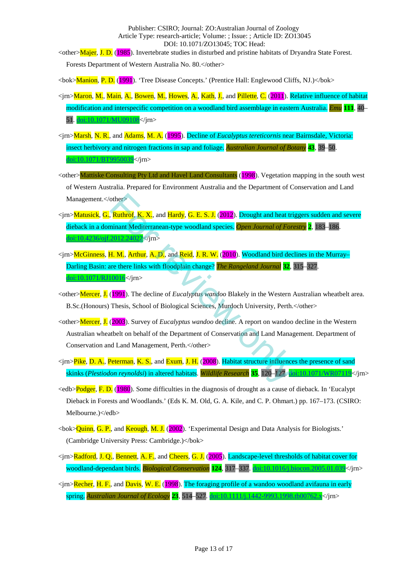<other>Majer, J. D. (1985). Invertebrate studies in disturbed and pristine habitats of Dryandra State Forest. Forests Department of Western Australia No. 80.</other>

<bok>Manion, P. D. (1991). 'Tree Disease Concepts.' (Prentice Hall: Englewood Cliffs, NJ.)</bok>

- <jrn>Maron, M., Main, A., Bowen, M., Howes, A., Kath, J., and Pillette, C. (2011). Relative influence of habitat modification and interspecific competition on a woodland bird assemblage in eastern Australia. *Emu* **111**, 40– 51[. doi:10.1071/MU09108<](http://dx.doi.org/10.1071/MU09108)/jrn>
- <jrn>Marsh, N. R., and Adams, M. A. (1995). Decline of *Eucalyptus tereticornis* near Bairnsdale, Victoria: insect herbivory and nitrogen fractions in sap and foliage. *Australian Journal of Botany* **43**, 39–50. [doi:10.1071/BT9950039<](http://dx.doi.org/10.1071/BT9950039)/jrn>
- <other>Mattiske Consulting Pty Ltd and Havel Land Consultants (1998). Vegetation mapping in the south west of Western Australia. Prepared for Environment Australia and the Department of Conservation and Land Management.</other>
- $\langle \text{sin}\rangle$ Matusick, G., Ruthrof, K. X., and Hardy, G. E. S. J. (2012). Drought and heat triggers sudden and severe dieback in a dominant Mediterranean-type woodland species. *Open Journal of Forestry* **2**, 183–186. [doi:10.4236/ojf.2012.24022<](http://dx.doi.org/10.4236/ojf.2012.24022)/jrn>
- <jrn>McGinness, H. M., Arthur, A. D., and Reid, J. R. W. (2010). Woodland bird declines in the Murray– Darling Basin: are there links with floodplain change? *The Rangeland Journal* **32**, 315–327. [doi:10.1071/RJ10016<](http://dx.doi.org/10.1071/RJ10016)/jrn> others<br> **Ruthrof. K. X.**, and Hardy, G. E. S. J. (2012). Drought and heat trigminant Mediterranean-type woodland species. *Open Journal of Fore*<br> **H. M., Arthur, A. D., and Reid, J. R. W. (2010). Woodland bird declare ther**
- <other>Mercer, J. (1991). The decline of *Eucalyptus wandoo* Blakely in the Western Australian wheatbelt area. B.Sc.(Honours) Thesis, School of Biological Sciences, Murdoch University, Perth.</other>
- <other>Mercer, J. (2003). Survey of *Eucalyptus wandoo* decline. A report on wandoo decline in the Western Australian wheatbelt on behalf of the Department of Conservation and Land Management. Department of Conservation and Land Management, Perth.</other>
- <jrn>Pike, D. A., Peterman, K. S., and Exum, J. H. (2008). Habitat structure influences the presence of sand skinks (*Plestiodon reynoldsi*) in altered habitats. *Wildlife Research* **35**, 120–127. [doi:10.1071/WR07119<](http://dx.doi.org/10.1071/WR07119)/jrn>
- <edb>Podger, F. D. (1980). Some difficulties in the diagnosis of drought as a cause of dieback. In 'Eucalypt Dieback in Forests and Woodlands.' (Eds K. M. Old, G. A. Kile, and C. P. Ohmart.) pp. 167–173. (CSIRO: Melbourne.)</edb>
- <bok>Quinn, G. P., and Keough, M. J. (2002). 'Experimental Design and Data Analysis for Biologists.' (Cambridge University Press: Cambridge.)</bok>
- <jrn>Radford, J. Q., Bennett, A. F., and Cheers, G. J. (2005). Landscape-level thresholds of habitat cover for woodland-dependant birds. *Biological Conservation* **124**, 317–337[. doi:10.1016/j.biocon.2005.01.039<](http://dx.doi.org/10.1016/j.biocon.2005.01.039)/jrn>
- <jrn>Recher, H. F., and Davis, W. E. (1998). The foraging profile of a wandoo woodland avifauna in early spring. *Australian Journal of Ecology* **23**, 514–527[. doi:10.1111/j.1442-9993.1998.tb00762.x<](http://dx.doi.org/10.1111/j.1442-9993.1998.tb00762.x)/jrn>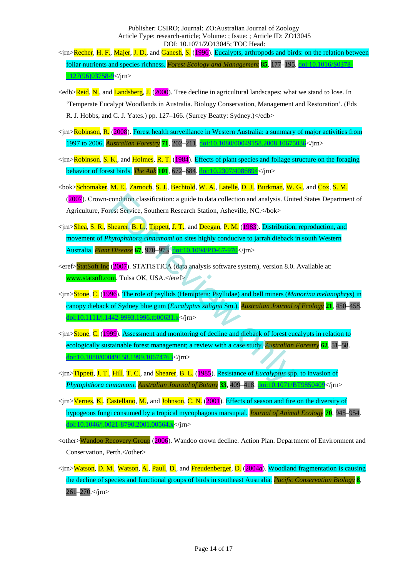- <jrn>Recher, H. F., Majer, J. D., and Ganesh, S. (1996). Eucalypts, arthropods and birds: on the relation between foliar nutrients and species richness. *Forest Ecology and Management* **85**, 177–195. [doi:10.1016/S0378-](http://dx.doi.org/10.1016/S0378-1127(96)03758-9) [1127\(96\)03758-9<](http://dx.doi.org/10.1016/S0378-1127(96)03758-9)/jrn>
- <edb>Reid, N., and Landsberg, J. (2000). Tree decline in agricultural landscapes: what we stand to lose. In 'Temperate Eucalypt Woodlands in Australia. Biology Conservation, Management and Restoration'. (Eds R. J. Hobbs, and C. J. Yates.) pp. 127-166. (Surrey Beatty: Sydney.) </edb>
- <jrn>Robinson, R. (2008). Forest health surveillance in Western Australia: a summary of major activities from 1997 to 2006. *Australian Forestry* **71**, 202–211. [doi:10.1080/00049158.2008.10675036<](http://dx.doi.org/10.1080/00049158.2008.10675036)/jrn>
- $\langle$ jrn>Robinson, S. K., and Holmes, R. T. (1984). Effects of plant species and foliage structure on the foraging behavior of forest birds. *The Auk* **101**, 672–684[. doi:10.2307/4086894<](http://dx.doi.org/10.2307/4086894)/jrn>
- <bok>Schomaker, M. E., Zarnoch, S. J., Bechtold, W. A., Latelle, D. J., Burkman, W. G., and Cox, S. M. (2007). Crown-condition classification: a guide to data collection and analysis. United States Department of Agriculture, Forest Service, Southern Research Station, Asheville, NC.</bok>
- <jrn>Shea, S. R., Shearer, B. L., Tippett, J. T., and Deegan, P. M. (1983). Distribution, reproduction, and movement of *Phytophthora cinnamomi* on sites highly conducive to jarrah dieback in south Western Australia. *Plant Disease* **67**, 970–973. doi:10.1094/PD-67-970</jrn> condition classification: a guide to data collection and analysis. Unit<br>
Fest Service, Southern Research Station, Asheville, NC.</bok>
hea[re](http://dx.doi.org/10.1094/PD-67-970)r, B. L., Tippett, J. T., and Deegan, P. M. (1983). Distribution<br>
hytophthora cinn
- <eref>StatSoft Inc (2007). STATISTICA (data analysis software system), version 8.0. Available at: www.statsoft.com. Tulsa OK, USA.</eref>
- <jrn>Stone, C. (1996). The role of psyllids (Hemiptera: Psyllidae) and bell miners (*Manorina melanophrys*) in canopy dieback of Sydney blue gum (*Eucalyptus saligna* Sm.). *Australian Journal of Ecology* **21**, 450–458. doi:10.1111/j.1442-9993.1996.tb00631.x</jrn>
- <jrn>Stone, C. (1999). Assessment and monitoring of decline and dieback of forest eucalypts in relation to ecologically sustainable forest management; a review with a case study. *Australian Forestry* **62**, 51–58. doi:10.1080/00049158.1999.10674763</jrn>
- <jrn>Tippett, J. T., Hill, T. C., and Shearer, B. L. (1985). Resistance of *Eucalyptus* spp. to invasion of *Phytophthora cinnamoni. Australian Journal of Botany* **33**, 409–418[. doi:10.1071/BT9850409<](http://dx.doi.org/10.1071/BT9850409)/jrn>
- $\langle \text{p} \rangle$ Vernes, K., Castellano, M., and Johnson, C. N. (2001). Effects of season and fire on the diversity of hypogeous fungi consumed by a tropical mycophagous marsupial. *Journal of Animal Ecology* **70**, 945–954. [doi:10.1046/j.0021-8790.2001.00564.x<](http://dx.doi.org/10.1046/j.0021-8790.2001.00564.x)/jrn>
- <other>Wandoo Recovery Group (2006). Wandoo crown decline. Action Plan. Department of Environment and Conservation, Perth.</other>
- <jrn>Watson, D. M., Watson, A., Paull, D., and Freudenberger, D. (2004*a*). Woodland fragmentation is causing the decline of species and functional groups of birds in southeast Australia. *Pacific Conservation Biology* **8**, 261–270.</jrn>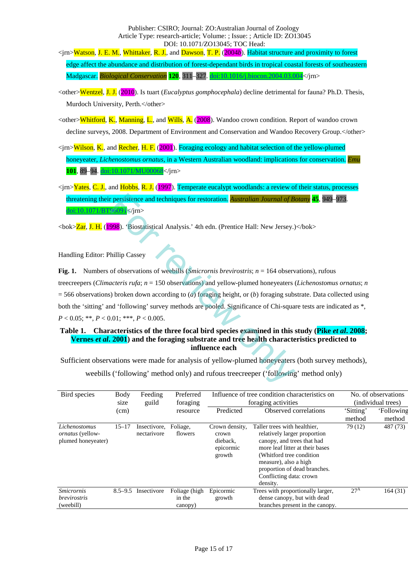<jrn>Watson, J. E. M., Whittaker, R. J., and Dawson, T. P. (2004*b*). Habitat structure and proximity to forest edge affect the abundance and distribution of forest-dependant birds in tropical coastal forests of southeastern Madgascar. *Biological Conservation* **120**, 311–327. [doi:10.1016/j.biocon.2004.03.004<](http://dx.doi.org/10.1016/j.biocon.2004.03.004)/jrn>

- <other>Wentzel, J. J. (2010). Is tuart *(Eucalyptus gomphocephala*) decline detrimental for fauna? Ph.D. Thesis, Murdoch University, Perth.</other>
- <other>Whitford, K., Manning, L., and Wills, A. (2008). Wandoo crown condition. Report of wandoo crown decline surveys, 2008. Department of Environment and Conservation and Wandoo Recovery Group.</other>
- <jrn>Wilson, K., and Recher, H. F. (2001). Foraging ecology and habitat selection of the yellow-plumed honeyeater, *Lichenostomus ornatus*, in a Western Australian woodland: implications for conservation. *Emu* **101**, 89–94[. doi:10.1071/MU00068<](http://dx.doi.org/10.1071/MU00068)/jrn>
- <jrn>Yates, C. J., and Hobbs, R. J. (1997). Temperate eucalypt woodlands: a review of their status, processes threatening their persistence and techniques for restoration. *Australian Journal of Botany* **45**, 949–973. [doi:10.1071/BT96091<](http://dx.doi.org/10.1071/BT96091)/jrn>

<bok>Zar, J. H. (1998). 'Biostatistical Analysis.' 4th edn. (Prentice Hall: New Jersey.)</bok>

Handling Editor: Phillip Cassey

**Fig. 1.** Numbers of observations of weebills (*Smicrornis brevirostris*; *n* = 164 observations), rufous treecreepers (*Climacteris rufa*; *n* = 150 observations) and yellow-plumed honeyeaters (*Lichenostomus ornatus*; *n*  = 566 observations) broken down according to (*a*) foraging height, or (*b*) foraging substrate. Data collected using both the 'sitting' and 'following' survey methods are pooled. Significance of Chi-square tests are indicated as \*, *P* < 0.05; \*\*, *P* < 0.01; \*\*\*, *P* < 0.005. **Proposition Community Control Control Control Control Control Control Control Control Control Control Control Control Control Control Control Control Control Control Control Control Control Control Control Control Contro** 

# **Table 1.** Characteristics of the three focal bird species examined in this study (Pike *et al.* 2008; **Vernes** *et al***. 2001) and the foraging substrate and tree health characteristics predicted to influence each**

Sufficient observations were made for analysis of yellow-plumed honeyeaters (both survey methods),

weebills ('following' method only) and rufous treecreeper ('following' method only)

| Bird species                                                   | Feeding<br>Body |                             | Preferred           | Influence of tree condition characteristics on             |                                                                                                                                                                                                                                                            | No. of observations |            |
|----------------------------------------------------------------|-----------------|-----------------------------|---------------------|------------------------------------------------------------|------------------------------------------------------------------------------------------------------------------------------------------------------------------------------------------------------------------------------------------------------------|---------------------|------------|
|                                                                | size            | guild                       | foraging            | foraging activities                                        |                                                                                                                                                                                                                                                            | (individual trees)  |            |
|                                                                | (cm)            |                             | resource            | Predicted                                                  | Observed correlations                                                                                                                                                                                                                                      | 'Sitting'           | 'Following |
|                                                                |                 |                             |                     |                                                            |                                                                                                                                                                                                                                                            | method              | method     |
| Lichenostomus<br><i>ornatus</i> (yellow-<br>plumed honeyeater) | $15 - 17$       | Insectivore,<br>nectarivore | Foliage,<br>flowers | Crown density,<br>crown<br>dieback.<br>epicormic<br>growth | Taller trees with healthier,<br>relatively larger proportion<br>canopy, and trees that had<br>more leaf litter at their bases<br>(Whitford tree condition)<br>measure), also a high<br>proportion of dead branches.<br>Conflicting data: crown<br>density. | 79 (12)             | 487 (73)   |
| <b>Smicrornis</b>                                              | $8.5 - 9.5$     | Insectivore                 | Foliage (high       | Epicormic                                                  | Trees with proportionally larger,                                                                                                                                                                                                                          | 27 <sup>A</sup>     | 164 (31)   |
| <i>brevirostris</i>                                            |                 |                             | in the              | growth                                                     | dense canopy, but with dead                                                                                                                                                                                                                                |                     |            |
| (weebill)                                                      |                 |                             | canopy)             |                                                            | branches present in the canopy.                                                                                                                                                                                                                            |                     |            |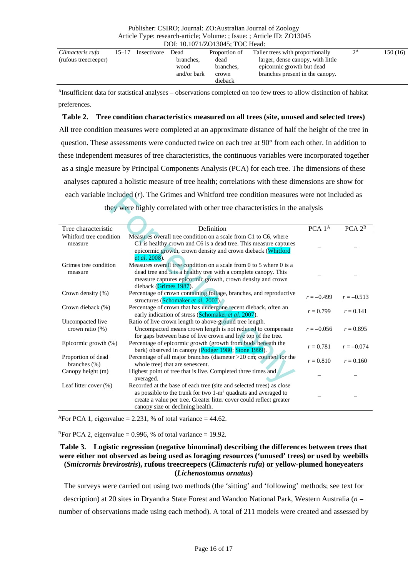| Climacteris rufa     | $15 - 17$ | Insectivore | Dead        | Proportion of | Taller trees with proportionally  | $2^{\rm A}$ | 150 (16) |
|----------------------|-----------|-------------|-------------|---------------|-----------------------------------|-------------|----------|
| (rufous treecreeper) |           |             | branches.   | dead          | larger, dense canopy, with little |             |          |
|                      |           |             | wood        | branches.     | epicormic growth but dead         |             |          |
|                      |           |             | and/or bark | crown         | branches present in the canopy.   |             |          |
|                      |           |             |             | dieback       |                                   |             |          |

AInsufficient data for statistical analyses – observations completed on too few trees to allow distinction of habitat preferences.

# **Table 2. Tree condition characteristics measured on all trees (site, unused and selected trees)**

All tree condition measures were completed at an approximate distance of half the height of the tree in question. These assessments were conducted twice on each tree at 90° from each other. In addition to these independent measures of tree characteristics, the continuous variables were incorporated together as a single measure by Principal Components Analysis (PCA) for each tree. The dimensions of these analyses captured a holistic measure of tree health; correlations with these dimensions are show for each variable included (*r*). The Grimes and Whitford tree condition measures were not included as they were highly correlated with other tree characteristics in the analysis

| each variable included (r). The Grimes and Whitford tree condition measures were not included as |                                                                                                                        |                               |                    |  |  |  |  |
|--------------------------------------------------------------------------------------------------|------------------------------------------------------------------------------------------------------------------------|-------------------------------|--------------------|--|--|--|--|
| they were highly correlated with other tree characteristics in the analysis                      |                                                                                                                        |                               |                    |  |  |  |  |
|                                                                                                  |                                                                                                                        |                               |                    |  |  |  |  |
| Tree characteristic                                                                              | Definition                                                                                                             | PCA <sub>1</sub> <sup>A</sup> | PCA 2 <sup>B</sup> |  |  |  |  |
| Whitford tree condition                                                                          | Measures overall tree condition on a scale from C1 to C6, where                                                        |                               |                    |  |  |  |  |
| measure                                                                                          | C1 is healthy crown and C6 is a dead tree. This measure captures                                                       |                               |                    |  |  |  |  |
|                                                                                                  | epicormic growth, crown density and crown dieback (Whitford                                                            |                               |                    |  |  |  |  |
|                                                                                                  | <i>et al.</i> 2008).                                                                                                   |                               |                    |  |  |  |  |
| Grimes tree condition                                                                            | Measures overall tree condition on a scale from 0 to 5 where 0 is a                                                    |                               |                    |  |  |  |  |
| measure                                                                                          | dead tree and 5 is a healthy tree with a complete canopy. This                                                         |                               |                    |  |  |  |  |
|                                                                                                  | measure captures epicormic growth, crown density and crown                                                             |                               |                    |  |  |  |  |
|                                                                                                  | dieback (Grimes 1987).                                                                                                 |                               |                    |  |  |  |  |
| Crown density (%)                                                                                | Percentage of crown containing foliage, branches, and reproductive<br>structures (Schomaker et al. 2007).              | $r = -0.499$                  | $r = -0.513$       |  |  |  |  |
| Crown dieback (%)                                                                                | Percentage of crown that has undergone recent dieback, often an<br>early indication of stress (Schomaker et al. 2007). | $r = 0.799$                   | $r = 0.141$        |  |  |  |  |
| Uncompacted live                                                                                 | Ratio of live crown length to above-ground tree length.                                                                |                               |                    |  |  |  |  |
| crown ratio $(\%)$                                                                               | Uncompacted means crown length is not reduced to compensate                                                            | $r = -0.056$                  | $r = 0.895$        |  |  |  |  |
|                                                                                                  | for gaps between base of live crown and live top of the tree.                                                          |                               |                    |  |  |  |  |
| Epicormic growth $(\%)$                                                                          | Percentage of epicormic growth (growth from buds beneath the<br>bark) observed in canopy (Podger 1980; Stone 1999).    | $r = 0.781$                   | $r = -0.074$       |  |  |  |  |
| Proportion of dead<br>branches $(\% )$                                                           | Percentage of all major branches (diameter >20 cm; counted for the<br>whole tree) that are senescent.                  | $r = 0.810$                   | $r = 0.160$        |  |  |  |  |
| Canopy height (m)                                                                                | Highest point of tree that is live. Completed three times and<br>averaged.                                             |                               |                    |  |  |  |  |
| Leaf litter cover (%)                                                                            | Recorded at the base of each tree (site and selected trees) as close                                                   |                               |                    |  |  |  |  |
|                                                                                                  | as possible to the trunk for two $1-m^2$ quadrats and averaged to                                                      |                               |                    |  |  |  |  |
|                                                                                                  | create a value per tree. Greater litter cover could reflect greater                                                    |                               |                    |  |  |  |  |
|                                                                                                  | canopy size or declining health.                                                                                       |                               |                    |  |  |  |  |

<sup>A</sup>For PCA 1, eigenvalue = 2.231, % of total variance = 44.62.

<sup>B</sup>For PCA 2, eigenvalue = 0.996, % of total variance = 19.92.

## **Table 3. Logistic regression (negative binominal) describing the differences between trees that were either not observed as being used as foraging resources ('unused' trees) or used by weebills (***Smicrornis brevirostris***), rufous treecreepers (***Climacteris rufa***) or yellow-plumed honeyeaters (***Lichenostomus ornatus***)**

The surveys were carried out using two methods (the 'sitting' and 'following' methods; see text for description) at 20 sites in Dryandra State Forest and Wandoo National Park, Western Australia (*n* = number of observations made using each method). A total of 211 models were created and assessed by